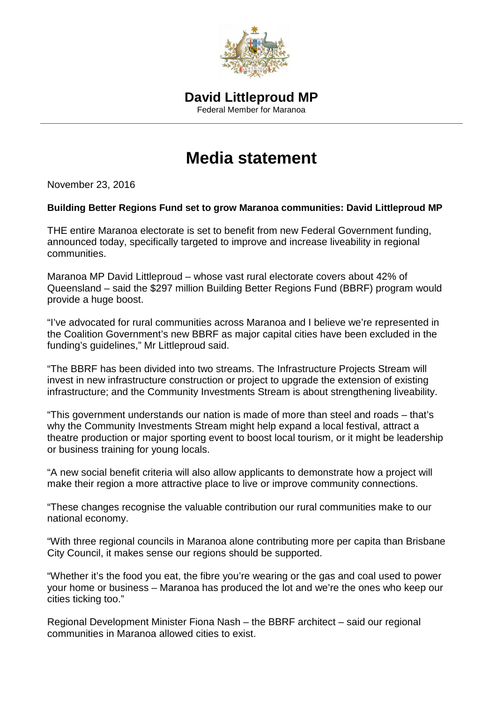

## **Media statement**

November 23, 2016

## **Building Better Regions Fund set to grow Maranoa communities: David Littleproud MP**

THE entire Maranoa electorate is set to benefit from new Federal Government funding, announced today, specifically targeted to improve and increase liveability in regional communities.

Maranoa MP David Littleproud – whose vast rural electorate covers about 42% of Queensland – said the \$297 million Building Better Regions Fund (BBRF) program would provide a huge boost.

"I've advocated for rural communities across Maranoa and I believe we're represented in the Coalition Government's new BBRF as major capital cities have been excluded in the funding's guidelines," Mr Littleproud said.

"The BBRF has been divided into two streams. The Infrastructure Projects Stream will invest in new infrastructure construction or project to upgrade the extension of existing infrastructure; and the Community Investments Stream is about strengthening liveability.

"This government understands our nation is made of more than steel and roads – that's why the Community Investments Stream might help expand a local festival, attract a theatre production or major sporting event to boost local tourism, or it might be leadership or business training for young locals.

"A new social benefit criteria will also allow applicants to demonstrate how a project will make their region a more attractive place to live or improve community connections.

"These changes recognise the valuable contribution our rural communities make to our national economy.

"With three regional councils in Maranoa alone contributing more per capita than Brisbane City Council, it makes sense our regions should be supported.

"Whether it's the food you eat, the fibre you're wearing or the gas and coal used to power your home or business – Maranoa has produced the lot and we're the ones who keep our cities ticking too."

Regional Development Minister Fiona Nash – the BBRF architect – said our regional communities in Maranoa allowed cities to exist.